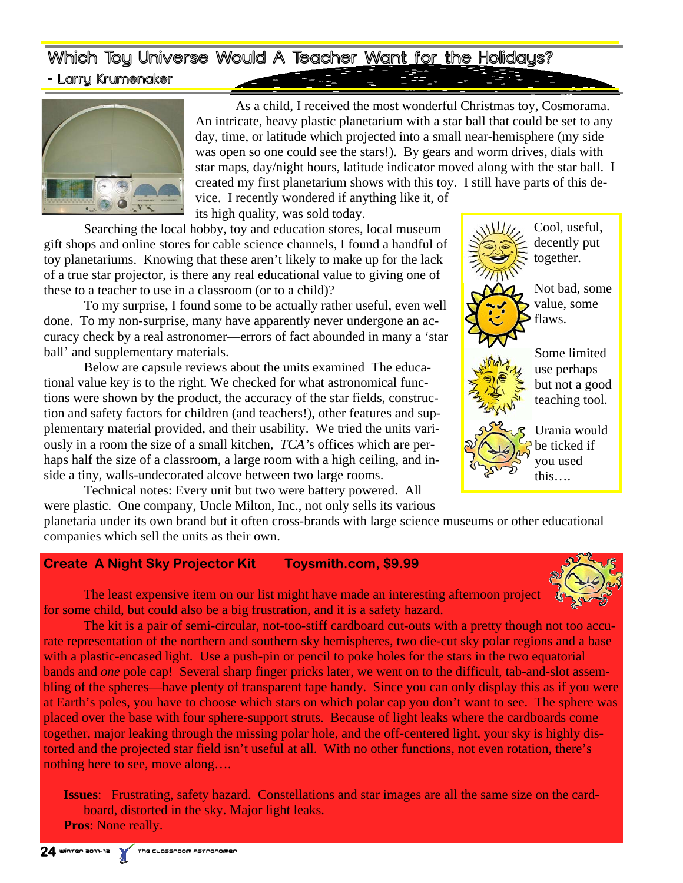Which Toy Universe Would A Teacher Want for the Holidays? - Larry Krumenaker



 As a child, I received the most wonderful Christmas toy, Cosmorama. An intricate, heavy plastic planetarium with a star ball that could be set to any day, time, or latitude which projected into a small near-hemisphere (my side was open so one could see the stars!). By gears and worm drives, dials with star maps, day/night hours, latitude indicator moved along with the star ball. I created my first planetarium shows with this toy. I still have parts of this device. I recently wondered if anything like it, of

its high quality, was sold today.

 Searching the local hobby, toy and education stores, local museum gift shops and online stores for cable science channels, I found a handful of toy planetariums. Knowing that these aren't likely to make up for the lack of a true star projector, is there any real educational value to giving one of these to a teacher to use in a classroom (or to a child)?

 To my surprise, I found some to be actually rather useful, even well done. To my non-surprise, many have apparently never undergone an accuracy check by a real astronomer—errors of fact abounded in many a 'star ball' and supplementary materials.

 Below are capsule reviews about the units examined The educational value key is to the right. We checked for what astronomical functions were shown by the product, the accuracy of the star fields, construction and safety factors for children (and teachers!), other features and supplementary material provided, and their usability. We tried the units variously in a room the size of a small kitchen, *TCA'*s offices which are perhaps half the size of a classroom, a large room with a high ceiling, and inside a tiny, walls-undecorated alcove between two large rooms.

 Technical notes: Every unit but two were battery powered. All were plastic. One company, Uncle Milton, Inc., not only sells its various



planetaria under its own brand but it often cross-brands with large science museums or other educational companies which sell the units as their own.

### **Create A Night Sky Projector Kit Toysmith.com, \$9.99**

The least expensive item on our list might have made an interesting afternoon project for some child, but could also be a big frustration, and it is a safety hazard.

 The kit is a pair of semi-circular, not-too-stiff cardboard cut-outs with a pretty though not too accurate representation of the northern and southern sky hemispheres, two die-cut sky polar regions and a base with a plastic-encased light. Use a push-pin or pencil to poke holes for the stars in the two equatorial bands and *one* pole cap! Several sharp finger pricks later, we went on to the difficult, tab-and-slot assembling of the spheres—have plenty of transparent tape handy. Since you can only display this as if you were at Earth's poles, you have to choose which stars on which polar cap you don't want to see. The sphere was placed over the base with four sphere-support struts. Because of light leaks where the cardboards come together, major leaking through the missing polar hole, and the off-centered light, your sky is highly distorted and the projected star field isn't useful at all. With no other functions, not even rotation, there's nothing here to see, move along….

**Issues**: Frustrating, safety hazard. Constellations and star images are all the same size on the cardboard, distorted in the sky. Major light leaks. **Pros**: None really.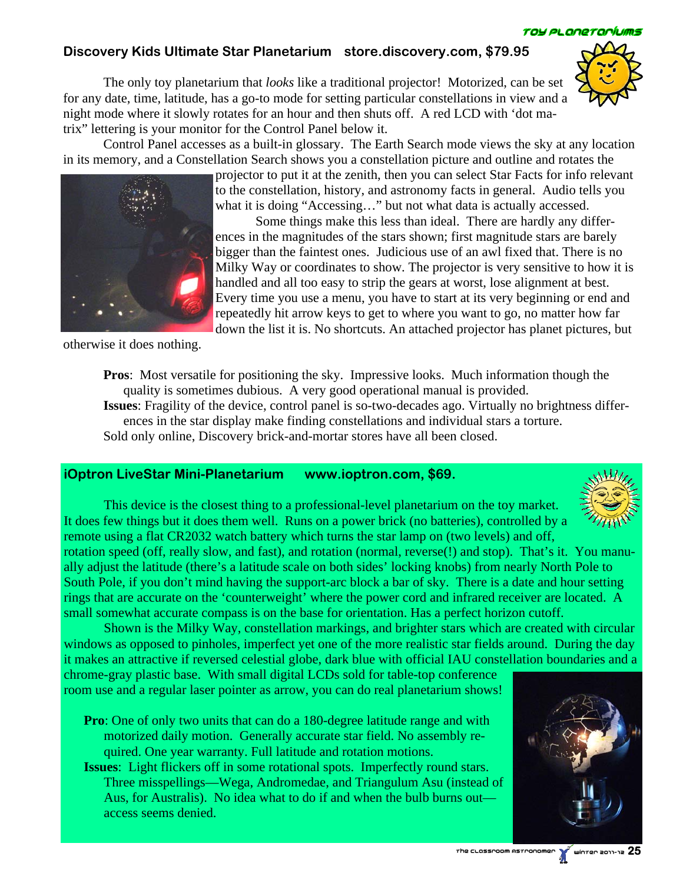## **Discovery Kids Ultimate Star Planetarium store.discovery.com, \$79.95**

 The only toy planetarium that *looks* like a traditional projector! Motorized, can be set for any date, time, latitude, has a go-to mode for setting particular constellations in view and a night mode where it slowly rotates for an hour and then shuts off. A red LCD with 'dot matrix" lettering is your monitor for the Control Panel below it.

 Control Panel accesses as a built-in glossary. The Earth Search mode views the sky at any location in its memory, and a Constellation Search shows you a constellation picture and outline and rotates the

> projector to put it at the zenith, then you can select Star Facts for info relevant to the constellation, history, and astronomy facts in general. Audio tells you what it is doing "Accessing…" but not what data is actually accessed.

> Some things make this less than ideal. There are hardly any differences in the magnitudes of the stars shown; first magnitude stars are barely bigger than the faintest ones. Judicious use of an awl fixed that. There is no Milky Way or coordinates to show. The projector is very sensitive to how it is handled and all too easy to strip the gears at worst, lose alignment at best. Every time you use a menu, you have to start at its very beginning or end and repeatedly hit arrow keys to get to where you want to go, no matter how far down the list it is. No shortcuts. An attached projector has planet pictures, but

otherwise it does nothing.

**Pros**: Most versatile for positioning the sky. Impressive looks. Much information though the quality is sometimes dubious. A very good operational manual is provided.

**Issues**: Fragility of the device, control panel is so-two-decades ago. Virtually no brightness differences in the star display make finding constellations and individual stars a torture. Sold only online, Discovery brick-and-mortar stores have all been closed.

#### **iOptron LiveStar Mini-Planetarium www.ioptron.com, \$69.**

 This device is the closest thing to a professional-level planetarium on the toy market. It does few things but it does them well. Runs on a power brick (no batteries), controlled by a remote using a flat CR2032 watch battery which turns the star lamp on (two levels) and off,

rotation speed (off, really slow, and fast), and rotation (normal, reverse(!) and stop). That's it. You manually adjust the latitude (there's a latitude scale on both sides' locking knobs) from nearly North Pole to South Pole, if you don't mind having the support-arc block a bar of sky. There is a date and hour setting rings that are accurate on the 'counterweight' where the power cord and infrared receiver are located. A small somewhat accurate compass is on the base for orientation. Has a perfect horizon cutoff.

 Shown is the Milky Way, constellation markings, and brighter stars which are created with circular windows as opposed to pinholes, imperfect yet one of the more realistic star fields around. During the day it makes an attractive if reversed celestial globe, dark blue with official IAU constellation boundaries and a

chrome-gray plastic base. With small digital LCDs sold for table-top conference room use and a regular laser pointer as arrow, you can do real planetarium shows!

**Pro**: One of only two units that can do a 180-degree latitude range and with motorized daily motion. Generally accurate star field. No assembly required. One year warranty. Full latitude and rotation motions.

**Issues**: Light flickers off in some rotational spots. Imperfectly round stars. Three misspellings—Wega, Andromedae, and Triangulum Asu (instead of Aus, for Australis). No idea what to do if and when the bulb burns out access seems denied.









TOY PLONETOrlums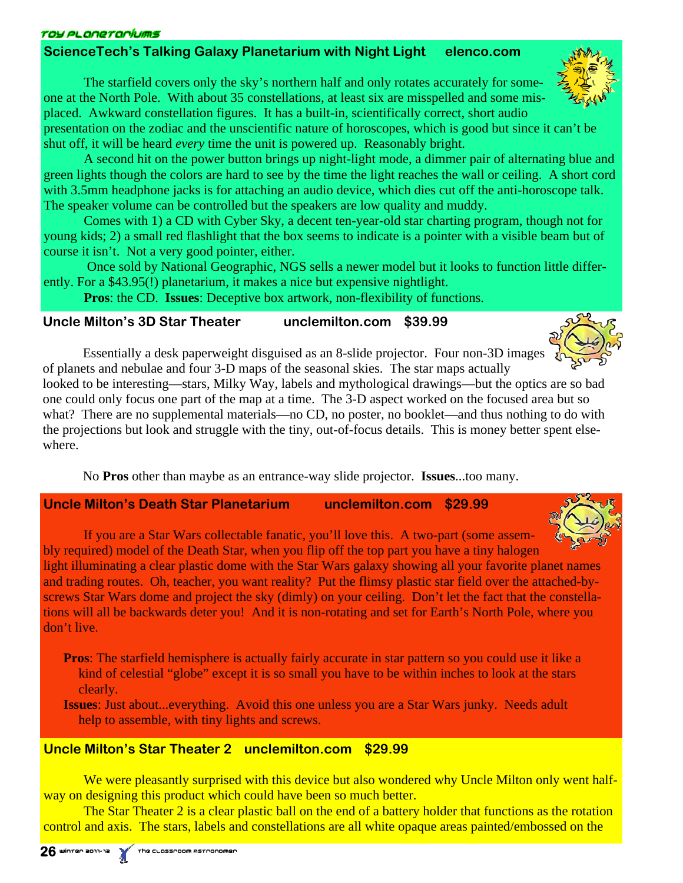### roy planeraríums

# **ScienceTech's Talking Galaxy Planetarium with Night Light elenco.com**

 The starfield covers only the sky's northern half and only rotates accurately for someone at the North Pole. With about 35 constellations, at least six are misspelled and some misplaced. Awkward constellation figures. It has a built-in, scientifically correct, short audio

presentation on the zodiac and the unscientific nature of horoscopes, which is good but since it can't be shut off, it will be heard *every* time the unit is powered up. Reasonably bright.

 A second hit on the power button brings up night-light mode, a dimmer pair of alternating blue and green lights though the colors are hard to see by the time the light reaches the wall or ceiling. A short cord with 3.5mm headphone jacks is for attaching an audio device, which dies cut off the anti-horoscope talk. The speaker volume can be controlled but the speakers are low quality and muddy.

 Comes with 1) a CD with Cyber Sky, a decent ten-year-old star charting program, though not for young kids; 2) a small red flashlight that the box seems to indicate is a pointer with a visible beam but of course it isn't. Not a very good pointer, either.

 Once sold by National Geographic, NGS sells a newer model but it looks to function little differently. For a \$43.95(!) planetarium, it makes a nice but expensive nightlight.

 **Pros**: the CD. **Issues**: Deceptive box artwork, non-flexibility of functions.

## **Uncle Milton's 3D Star Theater unclemilton.com \$39.99**

 Essentially a desk paperweight disguised as an 8-slide projector. Four non-3D images of planets and nebulae and four 3-D maps of the seasonal skies. The star maps actually

looked to be interesting—stars, Milky Way, labels and mythological drawings—but the optics are so bad one could only focus one part of the map at a time. The 3-D aspect worked on the focused area but so what? There are no supplemental materials—no CD, no poster, no booklet—and thus nothing to do with the projections but look and struggle with the tiny, out-of-focus details. This is money better spent elsewhere.

No **Pros** other than maybe as an entrance-way slide projector. **Issues**...too many.

**Uncle Milton's Death Star Planetarium unclemilton.com \$29.99** 

 If you are a Star Wars collectable fanatic, you'll love this. A two-part (some assembly required) model of the Death Star, when you flip off the top part you have a tiny halogen light illuminating a clear plastic dome with the Star Wars galaxy showing all your favorite planet names and trading routes. Oh, teacher, you want reality? Put the flimsy plastic star field over the attached-byscrews Star Wars dome and project the sky (dimly) on your ceiling. Don't let the fact that the constellations will all be backwards deter you! And it is non-rotating and set for Earth's North Pole, where you don't live.

**Pros**: The starfield hemisphere is actually fairly accurate in star pattern so you could use it like a kind of celestial "globe" except it is so small you have to be within inches to look at the stars clearly.

**Issues**: Just about...everything. Avoid this one unless you are a Star Wars junky. Needs adult help to assemble, with tiny lights and screws.

# **Uncle Milton's Star Theater 2 unclemilton.com \$29.99**

We were pleasantly surprised with this device but also wondered why Uncle Milton only went halfway on designing this product which could have been so much better.

The Star Theater 2 is a clear plastic ball on the end of a battery holder that functions as the rotation control and axis. The stars, labels and constellations are all white opaque areas painted/embossed on the